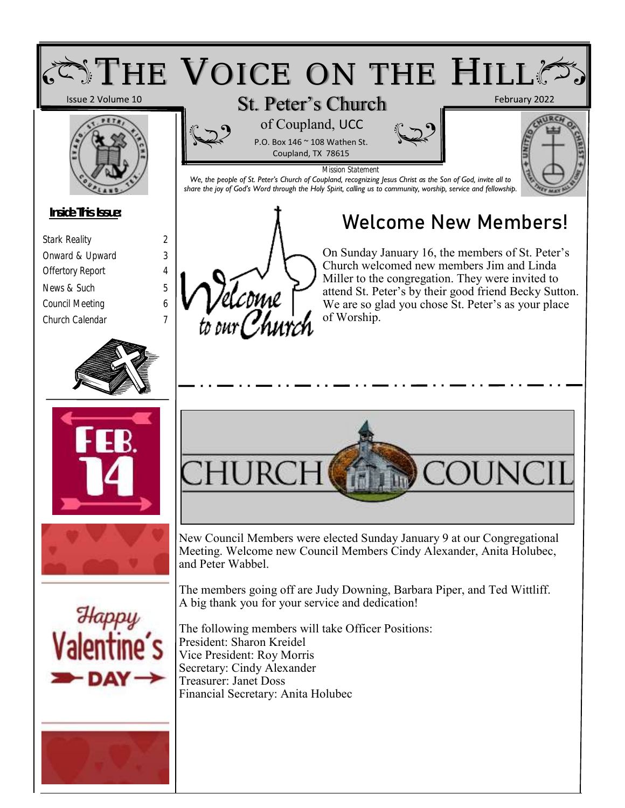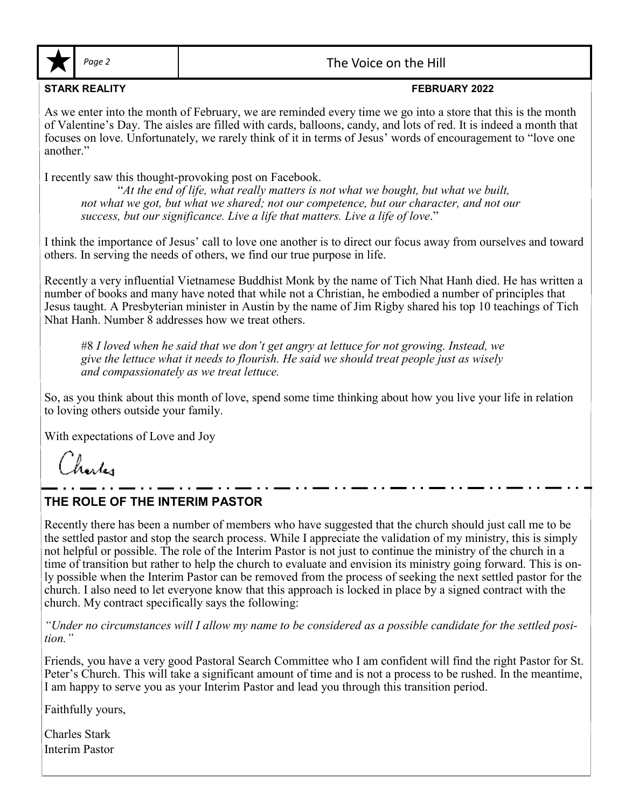

Page 2 and 1 and 1 and 2 and 2 and 2 and 2 and 2 and 2 and 2 and 2 and 2 and 2 and 2 and 2 and 2 and 2 and 2 and 2 and 2 and 2 and 2 and 2 and 2 and 2 and 2 and 2 and 2 and 2 and 2 and 2 and 2 and 2 and 2 and 2 and 2 and 2

#### **STARK REALITY FEBRUARY 2022**

As we enter into the month of February, we are reminded every time we go into a store that this is the month of Valentine's Day. The aisles are filled with cards, balloons, candy, and lots of red. It is indeed a month that focuses on love. Unfortunately, we rarely think of it in terms of Jesus' words of encouragement to "love one another."

I recently saw this thought-provoking post on Facebook.

"*At the end of life, what really matters is not what we bought, but what we built, not what we got, but what we shared; not our competence, but our character, and not our success, but our significance. Live a life that matters. Live a life of love*."

I think the importance of Jesus' call to love one another is to direct our focus away from ourselves and toward others. In serving the needs of others, we find our true purpose in life.

Recently a very influential Vietnamese Buddhist Monk by the name of Tich Nhat Hanh died. He has written a number of books and many have noted that while not a Christian, he embodied a number of principles that Jesus taught. A Presbyterian minister in Austin by the name of Jim Rigby shared his top 10 teachings of Tich Nhat Hanh. Number 8 addresses how we treat others.

#8 *I loved when he said that we don't get angry at lettuce for not growing. Instead, we give the lettuce what it needs to flourish. He said we should treat people just as wisely and compassionately as we treat lettuce.*

So, as you think about this month of love, spend some time thinking about how you live your life in relation to loving others outside your family.

With expectations of Love and Joy

Charles

## **THE ROLE OF THE INTERIM PASTOR**

Recently there has been a number of members who have suggested that the church should just call me to be the settled pastor and stop the search process. While I appreciate the validation of my ministry, this is simply not helpful or possible. The role of the Interim Pastor is not just to continue the ministry of the church in a time of transition but rather to help the church to evaluate and envision its ministry going forward. This is only possible when the Interim Pastor can be removed from the process of seeking the next settled pastor for the church. I also need to let everyone know that this approach is locked in place by a signed contract with the church. My contract specifically says the following:

*"Under no circumstances will I allow my name to be considered as a possible candidate for the settled position."* 

Friends, you have a very good Pastoral Search Committee who I am confident will find the right Pastor for St. Peter's Church. This will take a significant amount of time and is not a process to be rushed. In the meantime, I am happy to serve you as your Interim Pastor and lead you through this transition period.

Faithfully yours,

Charles Stark Interim Pastor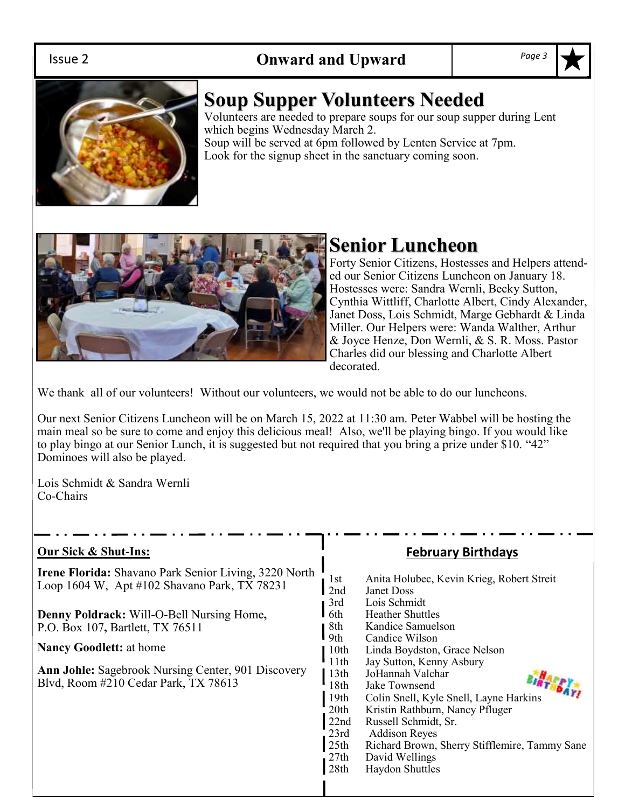# **Onward and Upward** *Page 3*



# **Soup Supper Volunteers Needed**

Volunteers are needed to prepare soups for our soup supper during Lent which begins Wednesday March 2. Soup will be served at 6pm followed by Lenten Service at 7pm.

Look for the signup sheet in the sanctuary coming soon.



# **Senior Luncheon**

Forty Senior Citizens, Hostesses and Helpers attended our Senior Citizens Luncheon on January 18. Hostesses were: Sandra Wernli, Becky Sutton, Cynthia Wittliff, Charlotte Albert, Cindy Alexander, Janet Doss, Lois Schmidt, Marge Gebhardt & Linda Miller. Our Helpers were: Wanda Walther, Arthur & Joyce Henze, Don Wernli, & S. R. Moss. Pastor Charles did our blessing and Charlotte Albert decorated.

We thank all of our volunteers! Without our volunteers, we would not be able to do our luncheons.

Our next Senior Citizens Luncheon will be on March 15, 2022 at 11:30 am. Peter Wabbel will be hosting the main meal so be sure to come and enjoy this delicious meal! Also, we'll be playing bingo. If you would like to play bingo at our Senior Lunch, it is suggested but not required that you bring a prize under \$10. "42" Dominoes will also be played.

Lois Schmidt & Sandra Wernli Co-Chairs

#### **Our Sick & Shut-Ins:**

**Irene Florida:** Shavano Park Senior Living, 3220 North Loop 1604 W, Apt #102 Shavano Park, TX 78231

**Denny Poldrack:** Will-O-Bell Nursing Home**,**  P.O. Box 107**,** Bartlett, TX 76511

**Nancy Goodlett:** at home

**Ann Johle:** Sagebrook Nursing Center, 901 Discovery Blvd, Room #210 Cedar Park, TX 78613

### **February Birthdays**

1st Anita Holubec, Kevin Krieg, Robert Streit 2nd Janet Doss 3rd Lois Schmidt 6th Heather Shuttles 8th Kandice Samuelson<br>9th Candice Wilson Candice Wilson 10th Linda Boydston, Grace Nelson 11th Jay Sutton, Kenny Asbury 13th JoHannah Valchar<br>18th Jake Townsend Jake Townsend 13th JoHannan varchar<br>18th Jake Townsend<br>19th Colin Snell, Kyle Snell, Layne Harkins 20th Kristin Rathburn, Nancy Pfluger 22nd Russell Schmidt, Sr. 23rd Addison Reyes<br>25th Richard Brown, Richard Brown, Sherry Stifflemire, Tammy Sane 27th David Wellings<br>28th Haydon Shuttles Haydon Shuttles

#### Issue 2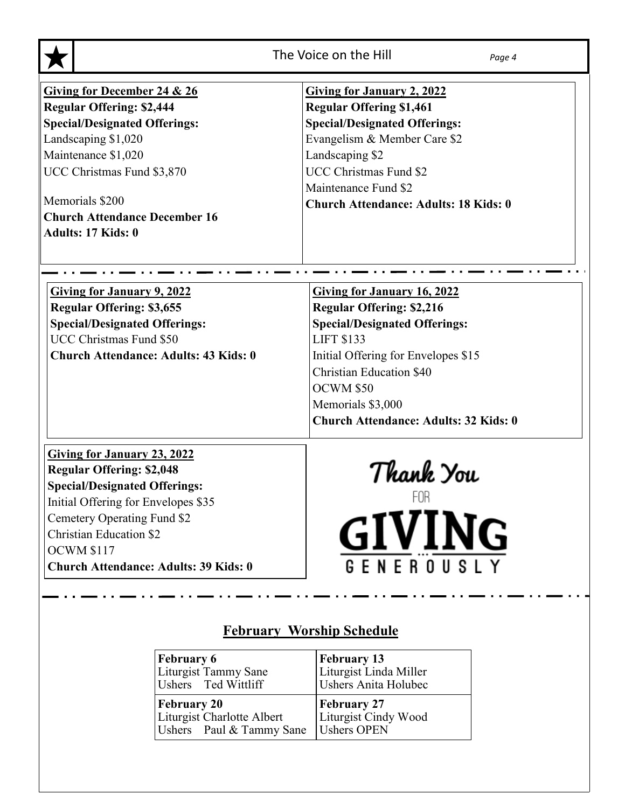|                                                                                                                                                                                                                                                                                             | The Voice on the Hill<br>Page 4                                                                                                                                                                                                                                                                 |
|---------------------------------------------------------------------------------------------------------------------------------------------------------------------------------------------------------------------------------------------------------------------------------------------|-------------------------------------------------------------------------------------------------------------------------------------------------------------------------------------------------------------------------------------------------------------------------------------------------|
| <b>Giving for December 24 &amp; 26</b><br><b>Regular Offering: \$2,444</b><br><b>Special/Designated Offerings:</b><br>Landscaping \$1,020<br>Maintenance \$1,020<br>UCC Christmas Fund \$3,870<br>Memorials \$200<br><b>Church Attendance December 16</b><br>Adults: 17 Kids: 0             | <b>Giving for January 2, 2022</b><br><b>Regular Offering \$1,461</b><br><b>Special/Designated Offerings:</b><br>Evangelism & Member Care \$2<br>Landscaping \$2<br><b>UCC Christmas Fund \$2</b><br>Maintenance Fund \$2<br><b>Church Attendance: Adults: 18 Kids: 0</b>                        |
| <b>Giving for January 9, 2022</b><br><b>Regular Offering: \$3,655</b><br><b>Special/Designated Offerings:</b><br>UCC Christmas Fund \$50<br><b>Church Attendance: Adults: 43 Kids: 0</b>                                                                                                    | <b>Giving for January 16, 2022</b><br><b>Regular Offering: \$2,216</b><br><b>Special/Designated Offerings:</b><br><b>LIFT \$133</b><br>Initial Offering for Envelopes \$15<br><b>Christian Education \$40</b><br>OCWM \$50<br>Memorials \$3,000<br><b>Church Attendance: Adults: 32 Kids: 0</b> |
| <b>Giving for January 23, 2022</b><br><b>Regular Offering: \$2,048</b><br><b>Special/Designated Offerings:</b><br>Initial Offering for Envelopes \$35<br>Cemetery Operating Fund \$2<br><b>Christian Education \$2</b><br><b>OCWM \$117</b><br><b>Church Attendance: Adults: 39 Kids: 0</b> | Thank You<br>ΗUΗ<br><b>GIVING</b><br>GENEROUSLY                                                                                                                                                                                                                                                 |

|  | <b>February Worship Schedule</b> |
|--|----------------------------------|
|  |                                  |

| <b>February 6</b>          | <b>February 13</b>          |
|----------------------------|-----------------------------|
| Liturgist Tammy Sane       | Liturgist Linda Miller      |
| Ushers Ted Wittliff        | <b>Ushers Anita Holubec</b> |
| <b>February 20</b>         | <b>February 27</b>          |
| Liturgist Charlotte Albert | Liturgist Cindy Wood        |
| Ushers Paul & Tammy Sane   | Ushers OPEN                 |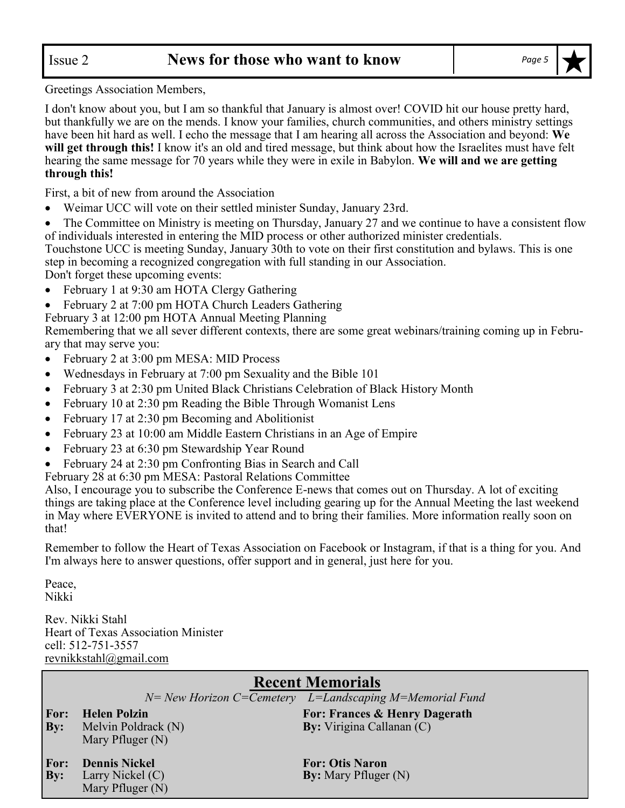Greetings Association Members,

I don't know about you, but I am so thankful that January is almost over! COVID hit our house pretty hard, but thankfully we are on the mends. I know your families, church communities, and others ministry settings have been hit hard as well. I echo the message that I am hearing all across the Association and beyond: **We will get through this!** I know it's an old and tired message, but think about how the Israelites must have felt hearing the same message for 70 years while they were in exile in Babylon. **We will and we are getting through this!**

First, a bit of new from around the Association

• Weimar UCC will vote on their settled minister Sunday, January 23rd.

• The Committee on Ministry is meeting on Thursday, January 27 and we continue to have a consistent flow of individuals interested in entering the MID process or other authorized minister credentials.

Touchstone UCC is meeting Sunday, January 30th to vote on their first constitution and bylaws. This is one step in becoming a recognized congregation with full standing in our Association.

Don't forget these upcoming events:

- February 1 at 9:30 am HOTA Clergy Gathering
- February 2 at 7:00 pm HOTA Church Leaders Gathering

February 3 at 12:00 pm HOTA Annual Meeting Planning

Remembering that we all sever different contexts, there are some great webinars/training coming up in February that may serve you:

- February 2 at 3:00 pm MESA: MID Process
- Wednesdays in February at 7:00 pm Sexuality and the Bible 101
- February 3 at 2:30 pm United Black Christians Celebration of Black History Month
- February 10 at 2:30 pm Reading the Bible Through Womanist Lens
- February 17 at 2:30 pm Becoming and Abolitionist
- February 23 at 10:00 am Middle Eastern Christians in an Age of Empire
- February 23 at 6:30 pm Stewardship Year Round
- February 24 at 2:30 pm Confronting Bias in Search and Call
- February 28 at 6:30 pm MESA: Pastoral Relations Committee

Also, I encourage you to subscribe the Conference E-news that comes out on Thursday. A lot of exciting things are taking place at the Conference level including gearing up for the Annual Meeting the last weekend in May where EVERYONE is invited to attend and to bring their families. More information really soon on that!

Remember to follow the Heart of Texas Association on Facebook or Instagram, if that is a thing for you. And I'm always here to answer questions, offer support and in general, just here for you.

Peace, Nikki

Rev. Nikki Stahl Heart of Texas Association Minister cell: 512-751-3557 revnikkstahl@gmail.com

|             | <b>Recent Memorials</b> |                                                           |  |  |  |  |
|-------------|-------------------------|-----------------------------------------------------------|--|--|--|--|
|             |                         | $N=$ New Horizon C=Cemetery L=Landscaping M=Memorial Fund |  |  |  |  |
| <b>For:</b> | <b>Helen Polzin</b>     | For: Frances & Henry Dagerath                             |  |  |  |  |
| <b>By:</b>  | Melvin Poldrack (N)     | <b>By:</b> Virigina Callanan (C)                          |  |  |  |  |
|             | Mary Pfluger (N)        |                                                           |  |  |  |  |
| <b>For:</b> | <b>Dennis Nickel</b>    | <b>For: Otis Naron</b>                                    |  |  |  |  |
|             |                         |                                                           |  |  |  |  |
| <b>By:</b>  | Larry Nickel (C)        | <b>By:</b> Mary Pfluger (N)                               |  |  |  |  |
|             | Mary Pfluger (N)        |                                                           |  |  |  |  |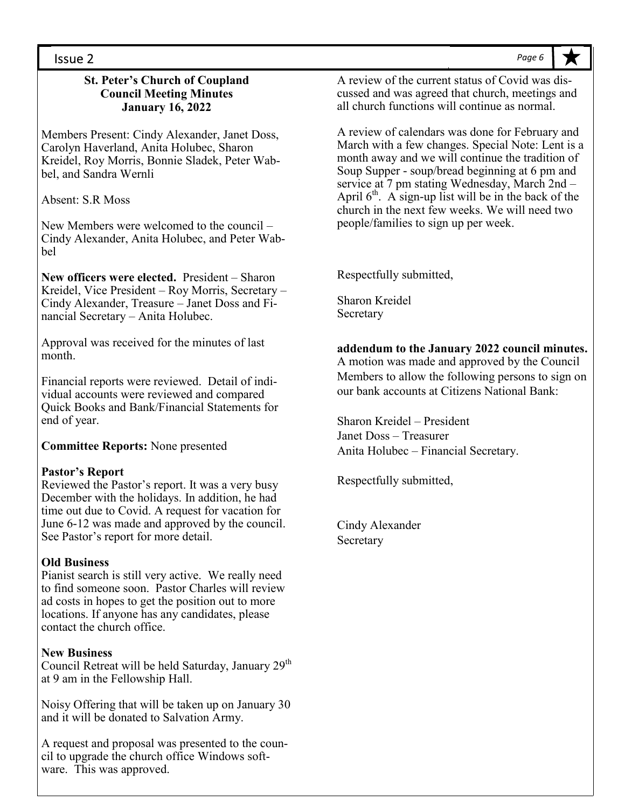#### Issue 2

#### **St. Peter's Church of Coupland Council Meeting Minutes January 16, 2022**

Members Present: Cindy Alexander, Janet Doss, Carolyn Haverland, Anita Holubec, Sharon Kreidel, Roy Morris, Bonnie Sladek, Peter Wabbel, and Sandra Wernli

Absent: S.R Moss

New Members were welcomed to the council – Cindy Alexander, Anita Holubec, and Peter Wabbel

**New officers were elected.** President – Sharon Kreidel, Vice President – Roy Morris, Secretary – Cindy Alexander, Treasure – Janet Doss and Financial Secretary – Anita Holubec.

Approval was received for the minutes of last month.

Financial reports were reviewed. Detail of individual accounts were reviewed and compared Quick Books and Bank/Financial Statements for end of year.

**Committee Reports:** None presented

#### **Pastor's Report**

Reviewed the Pastor's report. It was a very busy December with the holidays. In addition, he had time out due to Covid. A request for vacation for June 6-12 was made and approved by the council. See Pastor's report for more detail.

#### **Old Business**

Pianist search is still very active. We really need to find someone soon. Pastor Charles will review ad costs in hopes to get the position out to more locations. If anyone has any candidates, please contact the church office.

#### **New Business**

Council Retreat will be held Saturday, January 29<sup>th</sup> at 9 am in the Fellowship Hall.

Noisy Offering that will be taken up on January 30 and it will be donated to Salvation Army.

A request and proposal was presented to the council to upgrade the church office Windows software. This was approved.

A review of the current status of Covid was discussed and was agreed that church, meetings and all church functions will continue as normal.

A review of calendars was done for February and March with a few changes. Special Note: Lent is a month away and we will continue the tradition of Soup Supper - soup/bread beginning at 6 pm and service at 7 pm stating Wednesday, March 2nd – April  $6<sup>th</sup>$ . A sign-up list will be in the back of the church in the next few weeks. We will need two people/families to sign up per week.

Respectfully submitted,

Sharon Kreidel Secretary

#### **addendum to the January 2022 council minutes.**

A motion was made and approved by the Council Members to allow the following persons to sign on our bank accounts at Citizens National Bank:

Sharon Kreidel – President Janet Doss – Treasurer Anita Holubec – Financial Secretary.

Respectfully submitted,

Cindy Alexander **Secretary** 

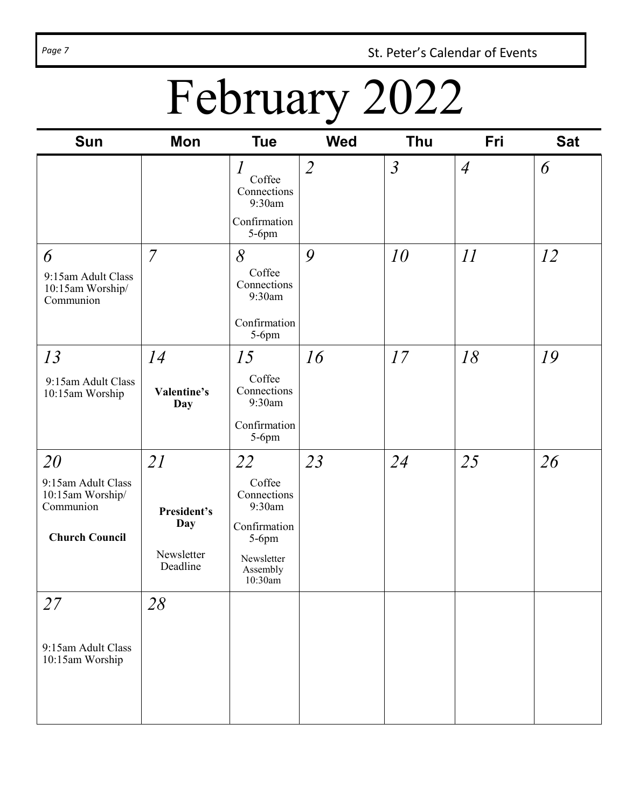Page 7 **St. Peter's Calendar of Events** 

# February 2022

| <b>Sun</b>                                                                         | <b>Mon</b>                                         | <b>Tue</b>                                                                                             | <b>Wed</b>     | <b>Thu</b>     | Fri            | <b>Sat</b> |
|------------------------------------------------------------------------------------|----------------------------------------------------|--------------------------------------------------------------------------------------------------------|----------------|----------------|----------------|------------|
|                                                                                    |                                                    | $\mathcal{I}_{\mathcal{I}}$<br>Coffee<br>Connections<br>9:30am<br>Confirmation<br>$5-6$ pm             | $\overline{2}$ | $\mathfrak{Z}$ | $\overline{4}$ | 6          |
| 6<br>9:15am Adult Class<br>10:15am Worship/<br>Communion                           | $\overline{7}$                                     | $\delta$<br>Coffee<br>Connections<br>9:30am<br>Confirmation<br>$5-6$ pm                                | 9              | 10             | II             | 12         |
| 13<br>9:15am Adult Class<br>10:15am Worship                                        | 14<br>Valentine's<br>Day                           | 15<br>Coffee<br>Connections<br>9:30am<br>Confirmation<br>5-6pm                                         | 16             | 17             | 18             | 19         |
| 20<br>9:15am Adult Class<br>10:15am Worship/<br>Communion<br><b>Church Council</b> | 21<br>President's<br>Day<br>Newsletter<br>Deadline | 22<br>Coffee<br>Connections<br>9:30am<br>Confirmation<br>$5-6$ pm<br>Newsletter<br>Assembly<br>10:30am | 23             | 24             | 25             | 26         |
| 27<br>9:15am Adult Class<br>10:15am Worship                                        | 28                                                 |                                                                                                        |                |                |                |            |